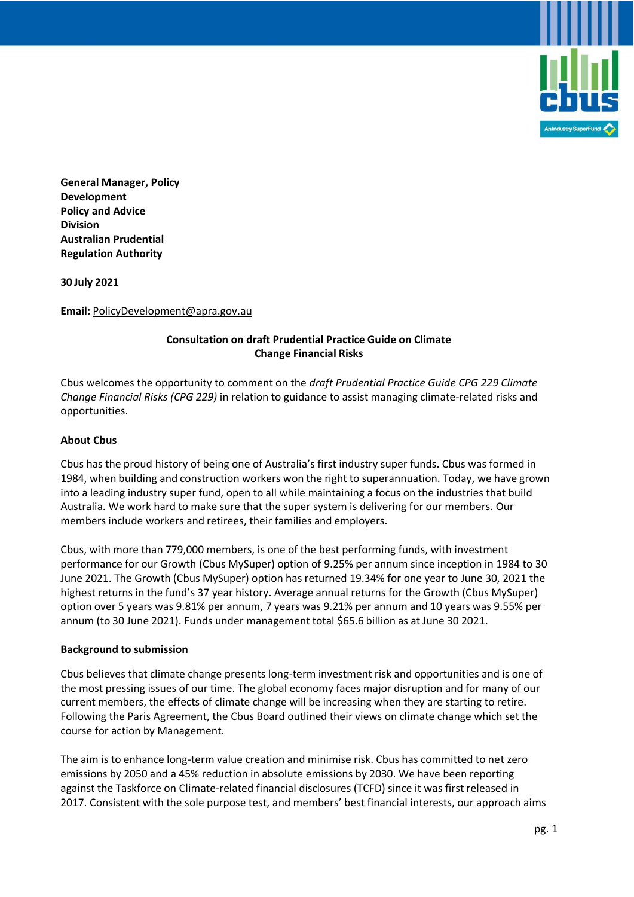

**General Manager, Policy Development Policy and Advice Division Australian Prudential Regulation Authority** 

**30 July 2021**

**Email:** PolicyDevelopment@apra.gov.au

# **Consultation on draft Prudential Practice Guide on Climate Change Financial Risks**

Cbus welcomes the opportunity to comment on the *draft Prudential Practice Guide CPG 229 Climate Change Financial Risks (CPG 229)* in relation to guidance to assist managing climate-related risks and opportunities.

### **About Cbus**

Cbus has the proud history of being one of Australia's first industry super funds. Cbus was formed in 1984, when building and construction workers won the right to superannuation. Today, we have grown into a leading industry super fund, open to all while maintaining a focus on the industries that build Australia. We work hard to make sure that the super system is delivering for our members. Our members include workers and retirees, their families and employers.

Cbus, with more than 779,000 members, is one of the best performing funds, with investment performance for our Growth (Cbus MySuper) option of 9.25% per annum since inception in 1984 to 30 June 2021. The Growth (Cbus MySuper) option has returned 19.34% for one year to June 30, 2021 the highest returns in the fund's 37 year history. Average annual returns for the Growth (Cbus MySuper) option over 5 years was 9.81% per annum, 7 years was 9.21% per annum and 10 years was 9.55% per annum (to 30 June 2021). Funds under management total \$65.6 billion as at June 30 2021.

#### **Background to submission**

Cbus believes that climate change presents long-term investment risk and opportunities and is one of the most pressing issues of our time. The global economy faces major disruption and for many of our current members, the effects of climate change will be increasing when they are starting to retire. Following the Paris Agreement, the Cbus Board outlined their views on climate change which set the course for action by Management.

The aim is to enhance long-term value creation and minimise risk. Cbus has committed to net zero emissions by 2050 and a 45% reduction in absolute emissions by 2030. We have been reporting against the Taskforce on Climate-related financial disclosures (TCFD) since it was first released in 2017. Consistent with the sole purpose test, and members' best financial interests, our approach aims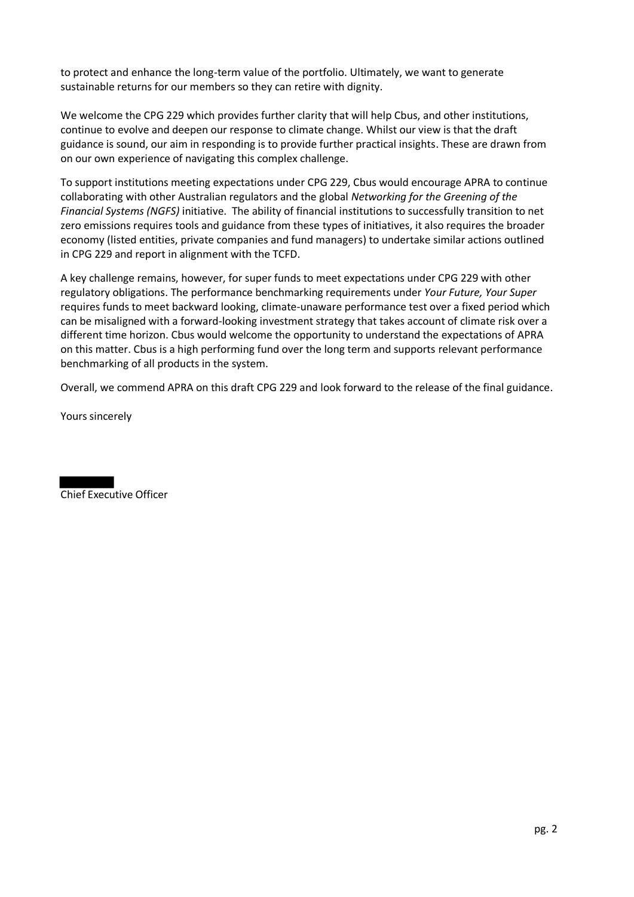to protect and enhance the long-term value of the portfolio. Ultimately, we want to generate sustainable returns for our members so they can retire with dignity.

We welcome the CPG 229 which provides further clarity that will help Cbus, and other institutions, continue to evolve and deepen our response to climate change. Whilst our view is that the draft guidance is sound, our aim in responding is to provide further practical insights. These are drawn from on our own experience of navigating this complex challenge.

To support institutions meeting expectations under CPG 229, Cbus would encourage APRA to continue collaborating with other Australian regulators and the global *Networking for the Greening of the Financial Systems (NGFS)* initiative. The ability of financial institutions to successfully transition to net zero emissions requires tools and guidance from these types of initiatives, it also requires the broader economy (listed entities, private companies and fund managers) to undertake similar actions outlined in CPG 229 and report in alignment with the TCFD.

A key challenge remains, however, for super funds to meet expectations under CPG 229 with other regulatory obligations. The performance benchmarking requirements under *Your Future, Your Super* requires funds to meet backward looking, climate-unaware performance test over a fixed period which can be misaligned with a forward-looking investment strategy that takes account of climate risk over a different time horizon. Cbus would welcome the opportunity to understand the expectations of APRA on this matter. Cbus is a high performing fund over the long term and supports relevant performance benchmarking of all products in the system.

Overall, we commend APRA on this draft CPG 229 and look forward to the release of the final guidance.

Yours sincerely

Chief Executive Officer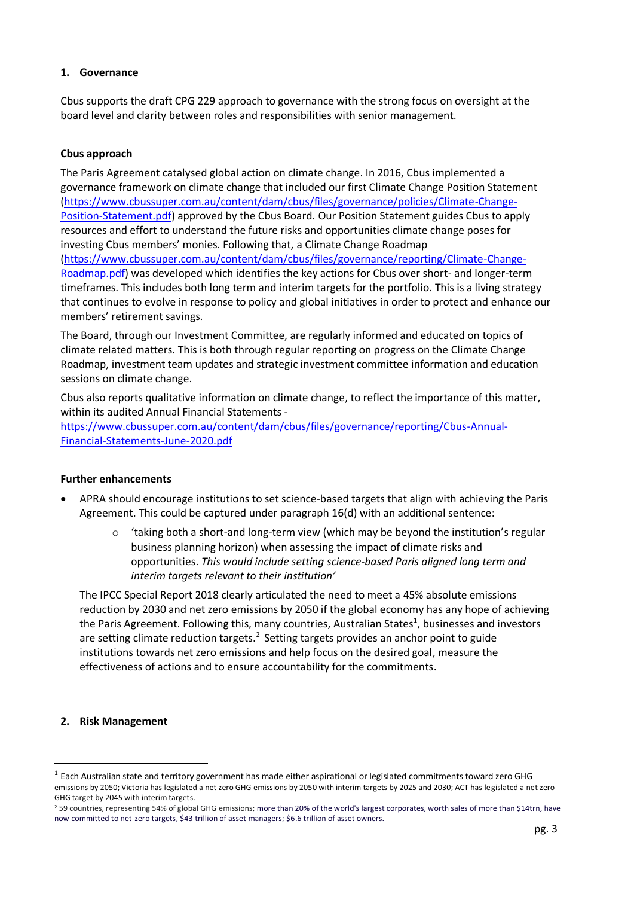### **1. Governance**

Cbus supports the draft CPG 229 approach to governance with the strong focus on oversight at the board level and clarity between roles and responsibilities with senior management.

### **Cbus approach**

The Paris Agreement catalysed global action on climate change. In 2016, Cbus implemented a governance framework on climate change that included our first Climate Change Position Statement (https://www.cbussuper.com.au/content/dam/cbus/files/governance/policies/Climate-Change-Position-Statement.pdf) approved by the Cbus Board. Our Position Statement guides Cbus to apply resources and effort to understand the future risks and opportunities climate change poses for investing Cbus members' monies. Following that, a Climate Change Roadmap (https://www.cbussuper.com.au/content/dam/cbus/files/governance/reporting/Climate-Change-Roadmap.pdf) was developed which identifies the key actions for Cbus over short- and longer-term timeframes. This includes both long term and interim targets for the portfolio. This is a living strategy that continues to evolve in response to policy and global initiatives in order to protect and enhance our members' retirement savings.

The Board, through our Investment Committee, are regularly informed and educated on topics of climate related matters. This is both through regular reporting on progress on the Climate Change Roadmap, investment team updates and strategic investment committee information and education sessions on climate change.

Cbus also reports qualitative information on climate change, to reflect the importance of this matter, within its audited Annual Financial Statements -

https://www.cbussuper.com.au/content/dam/cbus/files/governance/reporting/Cbus-Annual-Financial-Statements-June-2020.pdf

#### **Further enhancements**

- APRA should encourage institutions to set science-based targets that align with achieving the Paris Agreement. This could be captured under paragraph 16(d) with an additional sentence:
	- $\circ$  'taking both a short-and long-term view (which may be beyond the institution's regular business planning horizon) when assessing the impact of climate risks and opportunities. *This would include setting science-based Paris aligned long term and interim targets relevant to their institution'*

The IPCC Special Report 2018 clearly articulated the need to meet a 45% absolute emissions reduction by 2030 and net zero emissions by 2050 if the global economy has any hope of achieving the Paris Agreement. Following this, many countries, Australian States<sup>1</sup>, businesses and investors are setting climate reduction targets.<sup>2</sup> Setting targets provides an anchor point to guide institutions towards net zero emissions and help focus on the desired goal, measure the effectiveness of actions and to ensure accountability for the commitments.

#### **2. Risk Management**

 $^1$  Each Australian state and territory government has made either aspirational or legislated commitments toward zero GHG emissions by 2050; Victoria has legislated a net zero GHG emissions by 2050 with interim targets by 2025 and 2030; ACT has legislated a net zero GHG target by 2045 with interim targets.

<sup>&</sup>lt;sup>2</sup> 59 countries, representing 54% of global GHG emissions; more than 20% of the world's largest corporates, worth sales of more than \$14trn, have now committed to net-zero targets, \$43 trillion of asset managers; \$6.6 trillion of asset owners.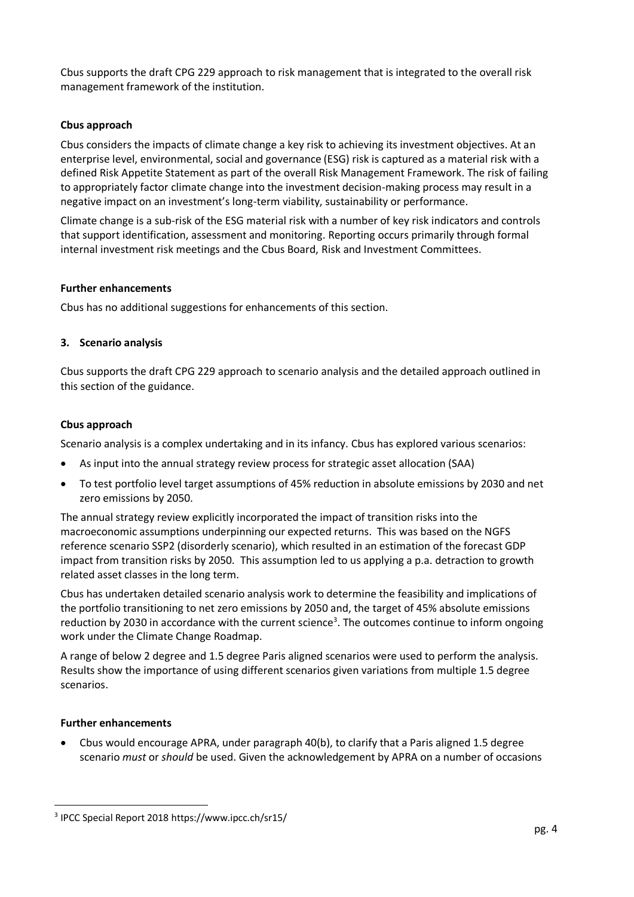Cbus supports the draft CPG 229 approach to risk management that is integrated to the overall risk management framework of the institution.

## **Cbus approach**

Cbus considers the impacts of climate change a key risk to achieving its investment objectives. At an enterprise level, environmental, social and governance (ESG) risk is captured as a material risk with a defined Risk Appetite Statement as part of the overall Risk Management Framework. The risk of failing to appropriately factor climate change into the investment decision-making process may result in a negative impact on an investment's long-term viability, sustainability or performance.

Climate change is a sub-risk of the ESG material risk with a number of key risk indicators and controls that support identification, assessment and monitoring. Reporting occurs primarily through formal internal investment risk meetings and the Cbus Board, Risk and Investment Committees.

#### **Further enhancements**

Cbus has no additional suggestions for enhancements of this section.

### **3. Scenario analysis**

Cbus supports the draft CPG 229 approach to scenario analysis and the detailed approach outlined in this section of the guidance.

#### **Cbus approach**

Scenario analysis is a complex undertaking and in its infancy. Cbus has explored various scenarios:

- As input into the annual strategy review process for strategic asset allocation (SAA)
- To test portfolio level target assumptions of 45% reduction in absolute emissions by 2030 and net zero emissions by 2050.

The annual strategy review explicitly incorporated the impact of transition risks into the macroeconomic assumptions underpinning our expected returns. This was based on the NGFS reference scenario SSP2 (disorderly scenario), which resulted in an estimation of the forecast GDP impact from transition risks by 2050. This assumption led to us applying a p.a. detraction to growth related asset classes in the long term.

Cbus has undertaken detailed scenario analysis work to determine the feasibility and implications of the portfolio transitioning to net zero emissions by 2050 and, the target of 45% absolute emissions reduction by 2030 in accordance with the current science<sup>3</sup>. The outcomes continue to inform ongoing work under the Climate Change Roadmap.

A range of below 2 degree and 1.5 degree Paris aligned scenarios were used to perform the analysis. Results show the importance of using different scenarios given variations from multiple 1.5 degree scenarios.

#### **Further enhancements**

• Cbus would encourage APRA, under paragraph 40(b), to clarify that a Paris aligned 1.5 degree scenario *must* or *should* be used. Given the acknowledgement by APRA on a number of occasions

<sup>3</sup> IPCC Special Report 2018 https://www.ipcc.ch/sr15/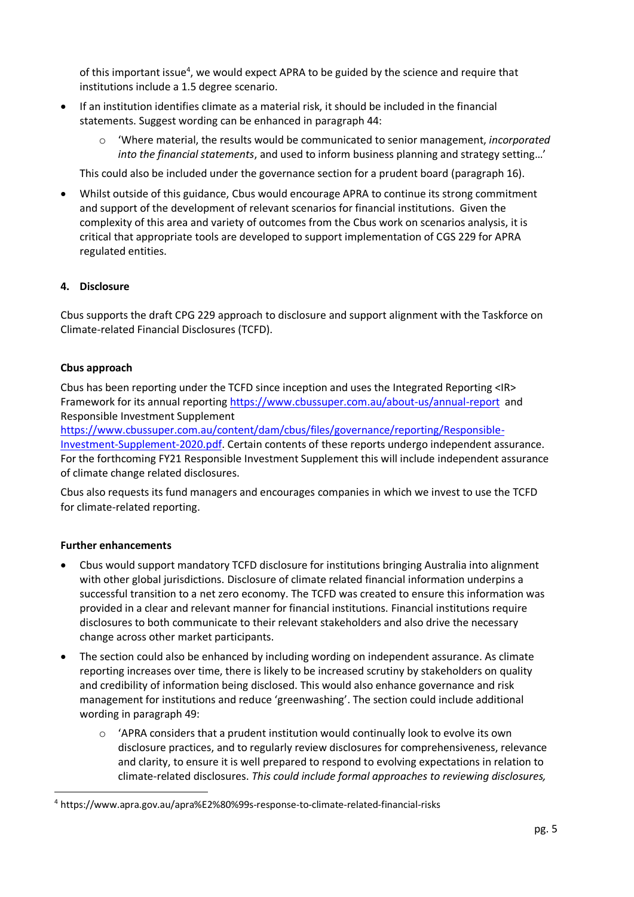of this important issue<sup>4</sup>, we would expect APRA to be guided by the science and require that institutions include a 1.5 degree scenario.

- If an institution identifies climate as a material risk, it should be included in the financial statements. Suggest wording can be enhanced in paragraph 44:
	- o 'Where material, the results would be communicated to senior management, *incorporated into the financial statements*, and used to inform business planning and strategy setting…'

This could also be included under the governance section for a prudent board (paragraph 16).

• Whilst outside of this guidance, Cbus would encourage APRA to continue its strong commitment and support of the development of relevant scenarios for financial institutions. Given the complexity of this area and variety of outcomes from the Cbus work on scenarios analysis, it is critical that appropriate tools are developed to support implementation of CGS 229 for APRA regulated entities.

# **4. Disclosure**

Cbus supports the draft CPG 229 approach to disclosure and support alignment with the Taskforce on Climate-related Financial Disclosures (TCFD).

# **Cbus approach**

Cbus has been reporting under the TCFD since inception and uses the Integrated Reporting <IR> Framework for its annual reporting https://www.cbussuper.com.au/about-us/annual-report and Responsible Investment Supplement

https://www.cbussuper.com.au/content/dam/cbus/files/governance/reporting/Responsible-Investment-Supplement-2020.pdf. Certain contents of these reports undergo independent assurance. For the forthcoming FY21 Responsible Investment Supplement this will include independent assurance of climate change related disclosures.

Cbus also requests its fund managers and encourages companies in which we invest to use the TCFD for climate-related reporting.

# **Further enhancements**

- Cbus would support mandatory TCFD disclosure for institutions bringing Australia into alignment with other global jurisdictions. Disclosure of climate related financial information underpins a successful transition to a net zero economy. The TCFD was created to ensure this information was provided in a clear and relevant manner for financial institutions. Financial institutions require disclosures to both communicate to their relevant stakeholders and also drive the necessary change across other market participants.
- The section could also be enhanced by including wording on independent assurance. As climate reporting increases over time, there is likely to be increased scrutiny by stakeholders on quality and credibility of information being disclosed. This would also enhance governance and risk management for institutions and reduce 'greenwashing'. The section could include additional wording in paragraph 49:
	- $\circ$  'APRA considers that a prudent institution would continually look to evolve its own disclosure practices, and to regularly review disclosures for comprehensiveness, relevance and clarity, to ensure it is well prepared to respond to evolving expectations in relation to climate-related disclosures. *This could include formal approaches to reviewing disclosures,*

<sup>4</sup> https://www.apra.gov.au/apra%E2%80%99s-response-to-climate-related-financial-risks